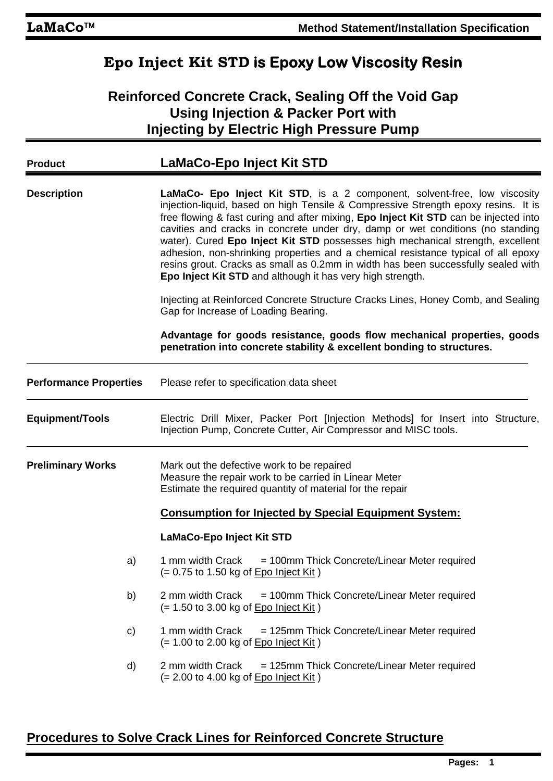## **Epo Inject Kit STD is Epoxy Low Viscosity Resin**

### **Reinforced Concrete Crack, Sealing Off the Void Gap Using Injection & Packer Port with Injecting by Electric High Pressure Pump**

| <b>Product</b>                | <b>LaMaCo-Epo Inject Kit STD</b>                                                                                                                                                                                                                                                                                                                                                                                                                                                                                                                                                                                                                                    |
|-------------------------------|---------------------------------------------------------------------------------------------------------------------------------------------------------------------------------------------------------------------------------------------------------------------------------------------------------------------------------------------------------------------------------------------------------------------------------------------------------------------------------------------------------------------------------------------------------------------------------------------------------------------------------------------------------------------|
| <b>Description</b>            | LaMaCo- Epo Inject Kit STD, is a 2 component, solvent-free, low viscosity<br>injection-liquid, based on high Tensile & Compressive Strength epoxy resins. It is<br>free flowing & fast curing and after mixing, Epo Inject Kit STD can be injected into<br>cavities and cracks in concrete under dry, damp or wet conditions (no standing<br>water). Cured Epo Inject Kit STD possesses high mechanical strength, excellent<br>adhesion, non-shrinking properties and a chemical resistance typical of all epoxy<br>resins grout. Cracks as small as 0.2mm in width has been successfully sealed with<br>Epo Inject Kit STD and although it has very high strength. |
|                               | Injecting at Reinforced Concrete Structure Cracks Lines, Honey Comb, and Sealing<br>Gap for Increase of Loading Bearing.                                                                                                                                                                                                                                                                                                                                                                                                                                                                                                                                            |
|                               | Advantage for goods resistance, goods flow mechanical properties, goods<br>penetration into concrete stability & excellent bonding to structures.                                                                                                                                                                                                                                                                                                                                                                                                                                                                                                                   |
| <b>Performance Properties</b> | Please refer to specification data sheet                                                                                                                                                                                                                                                                                                                                                                                                                                                                                                                                                                                                                            |
| <b>Equipment/Tools</b>        | Electric Drill Mixer, Packer Port [Injection Methods] for Insert into Structure,<br>Injection Pump, Concrete Cutter, Air Compressor and MISC tools.                                                                                                                                                                                                                                                                                                                                                                                                                                                                                                                 |
| <b>Preliminary Works</b>      | Mark out the defective work to be repaired<br>Measure the repair work to be carried in Linear Meter<br>Estimate the required quantity of material for the repair                                                                                                                                                                                                                                                                                                                                                                                                                                                                                                    |
|                               | <b>Consumption for Injected by Special Equipment System:</b>                                                                                                                                                                                                                                                                                                                                                                                                                                                                                                                                                                                                        |
|                               | LaMaCo-Epo Inject Kit STD                                                                                                                                                                                                                                                                                                                                                                                                                                                                                                                                                                                                                                           |
| a)                            | = 100mm Thick Concrete/Linear Meter required<br>1 mm width Crack<br>$(= 0.75$ to 1.50 kg of $Epo$ Inject Kit)                                                                                                                                                                                                                                                                                                                                                                                                                                                                                                                                                       |
| b)                            | 2 mm width Crack<br>= 100mm Thick Concrete/Linear Meter required<br>$(= 1.50$ to 3.00 kg of <b>Epo Inject Kit</b> )                                                                                                                                                                                                                                                                                                                                                                                                                                                                                                                                                 |
| C)                            | 1 mm width Crack<br>= 125mm Thick Concrete/Linear Meter required<br>$(= 1.00$ to 2.00 kg of Epo Inject Kit)                                                                                                                                                                                                                                                                                                                                                                                                                                                                                                                                                         |
| d)                            | 2 mm width Crack<br>= 125mm Thick Concrete/Linear Meter required<br>$(= 2.00 \text{ to } 4.00 \text{ kg of } Epo Inject Kit)$                                                                                                                                                                                                                                                                                                                                                                                                                                                                                                                                       |

### **Procedures to Solve Crack Lines for Reinforced Concrete Structure**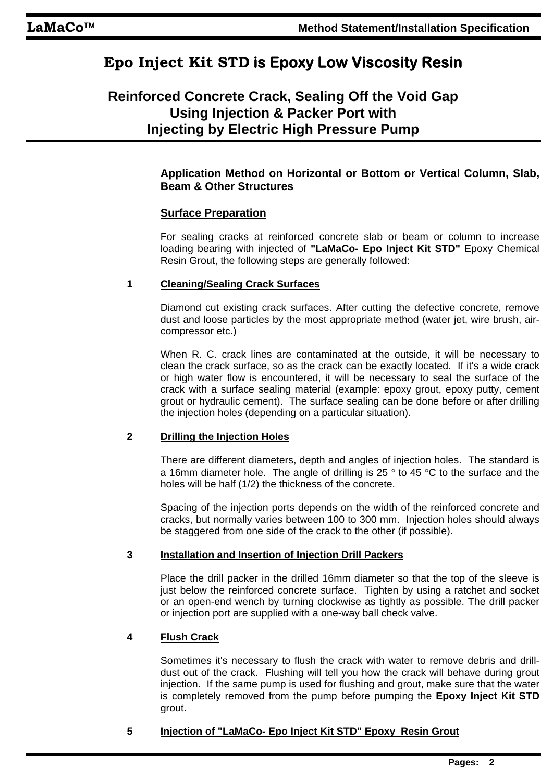# **Epo Inject Kit STD is Epoxy Low Viscosity Resin**

### **Reinforced Concrete Crack, Sealing Off the Void Gap Using Injection & Packer Port with Injecting by Electric High Pressure Pump**

#### **Application Method on Horizontal or Bottom or Vertical Column, Slab, Beam & Other Structures**

#### **Surface Preparation**

For sealing cracks at reinforced concrete slab or beam or column to increase loading bearing with injected of **"LaMaCo- Epo Inject Kit STD"** Epoxy Chemical Resin Grout, the following steps are generally followed:

#### **1 Cleaning/Sealing Crack Surfaces**

Diamond cut existing crack surfaces. After cutting the defective concrete, remove dust and loose particles by the most appropriate method (water jet, wire brush, aircompressor etc.)

When R. C. crack lines are contaminated at the outside, it will be necessary to clean the crack surface, so as the crack can be exactly located. If it's a wide crack or high water flow is encountered, it will be necessary to seal the surface of the crack with a surface sealing material (example: epoxy grout, epoxy putty, cement grout or hydraulic cement). The surface sealing can be done before or after drilling the injection holes (depending on a particular situation).

#### **2 Drilling the Injection Holes**

There are different diameters, depth and angles of injection holes. The standard is a 16mm diameter hole. The angle of drilling is 25  $\degree$  to 45  $\degree$ C to the surface and the holes will be half (1/2) the thickness of the concrete.

Spacing of the injection ports depends on the width of the reinforced concrete and cracks, but normally varies between 100 to 300 mm. Injection holes should always be staggered from one side of the crack to the other (if possible).

#### **3 Installation and Insertion of Injection Drill Packers**

Place the drill packer in the drilled 16mm diameter so that the top of the sleeve is just below the reinforced concrete surface. Tighten by using a ratchet and socket or an open-end wench by turning clockwise as tightly as possible. The drill packer or injection port are supplied with a one-way ball check valve.

#### **4 Flush Crack**

Sometimes it's necessary to flush the crack with water to remove debris and drilldust out of the crack. Flushing will tell you how the crack will behave during grout injection. If the same pump is used for flushing and grout, make sure that the water is completely removed from the pump before pumping the **Epoxy Inject Kit STD** grout.

#### **5 Injection of "LaMaCo- Epo Inject Kit STD" Epoxy Resin Grout**